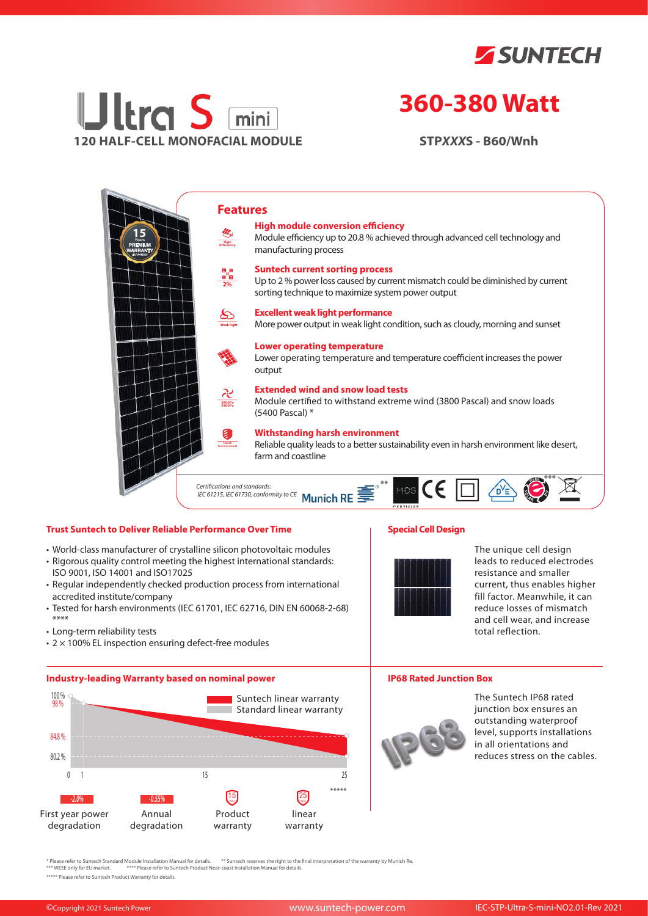



# **360-380 Watt**

**STP***XXX***S - B60/Wnh**



## **Trust Suntech to Deliver Reliable Performance Over Time**

- World-class manufacturer of crystalline silicon photovoltaic modules
- Rigorous quality control meeting the highest international standards: ISO 9001, ISO 14001 and ISO17025
- Regular independently checked production process from international accredited institute/company
- Tested for harsh environments (IEC 61701, IEC 62716, DIN EN 60068-2-68) \*\*\*\*
- Long-term reliability tests
- $\cdot$  2  $\times$  100% EL inspection ensuring defect-free modules

### **Industry-leading Warranty based on nominal power**



# **Special Cell Design**



The unique cell design leads to reduced electrodes resistance and smaller current, thus enables higher fill factor. Meanwhile, it can reduce losses of mismatch and cell wear, and increase total reflection.

#### **IP68 Rated Junction Box**



The Suntech IP68 rated junction box ensures an outstanding waterproof level, supports installations in all orientations and reduces stress on the cables.

\* Please refer to Suntech Standard Module Installation Manual for details. \*\* Suntech reserves the right to the final interpretation of the warranty by Munich Re.<br>\*\*\* WEEE only for EU market. \*\*\*\* Please refer to Suntech P

\*\*\*\*\* Please refer to Suntech Product Warranty for details.